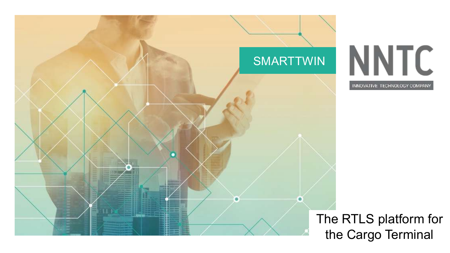

The RTLS platform for the Cargo Terminal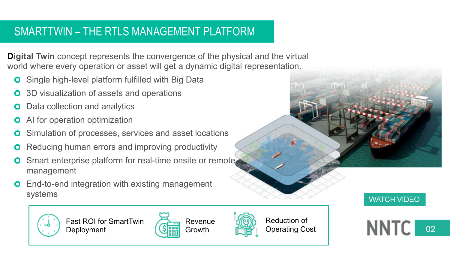# SMARTTWIN – THE RTLS MANAGEMENT PLATFORM

**Digital Twin** concept represents the convergence of the physical and the virtual world where every operation or asset will get a dynamic digital representation.

- Single high-level platform fulfilled with Big Data  $\bullet$
- 3D visualization of assets and operations  $\bullet$
- Data collection and analytics  $\bullet$
- AI for operation optimization  $\bullet$
- Simulation of processes, services and asset locations  $\mathbf{o}$
- Reducing human errors and improving productivity  $\bullet$
- Smart enterprise platform for real-time onsite or remote. management
- End-to-end integration with existing management systems



Fast ROI for SmartTwin **Deployment** 





**WATCH VIDEO** 

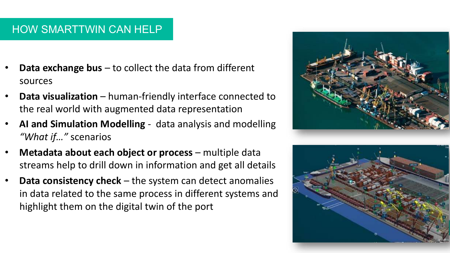## HOW SMARTTWIN CAN HELP

- **Data exchange bus**  to collect the data from different sources
- **Data visualization**  human-friendly interface connected to the real world with augmented data representation
- **AI and Simulation Modelling**  data analysis and modelling *"What if…"* scenarios
- **Metadata about each object or process**  multiple data streams help to drill down in information and get all details
- **Data consistency check**  the system can detect anomalies in data related to the same process in different systems and highlight them on the digital twin of the port



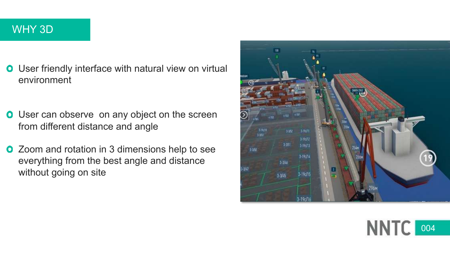## WHY 3D

- **O** User friendly interface with natural view on virtual environment
- **O** User can observe on any object on the screen from different distance and angle
- **O** Zoom and rotation in 3 dimensions help to see everything from the best angle and distance without going on site



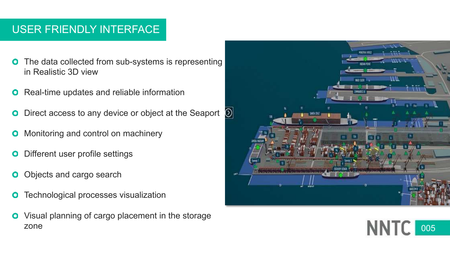## USER FRIENDLY INTERFACE

- The data collected from sub-systems is representing  $\bullet$ in Realistic 3D view
- Real-time updates and reliable information  $\mathbf{o}$
- Direct access to any device or object at the Seaport  $\Box$ O
- Monitoring and control on machinery O
- Different user profile settings O
- Objects and cargo search  $\mathbf{o}$
- Technological processes visualization  $\mathbf 0$
- $\bullet$ Visual planning of cargo placement in the storage zone



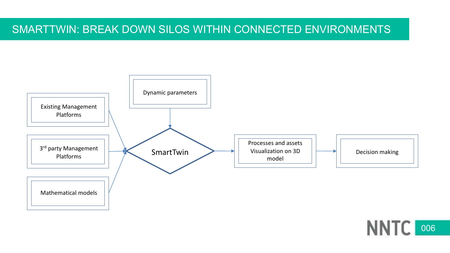## SMARTTWIN: BREAK DOWN SILOS WITHIN CONNECTED ENVIRONMENTS



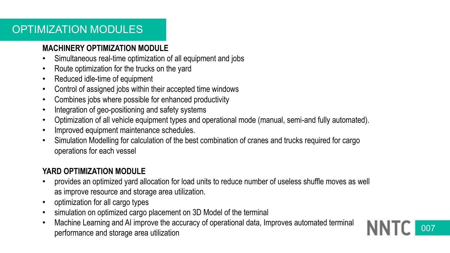## OPTIMIZATION MODULES

### **MACHINERY OPTIMIZATION MODULE**

- Simultaneous real-time optimization of all equipment and jobs
- Route optimization for the trucks on the yard
- Reduced idle-time of equipment
- Control of assigned jobs within their accepted time windows
- Combines jobs where possible for enhanced productivity
- Integration of geo-positioning and safety systems
- Optimization of all vehicle equipment types and operational mode (manual, semi-and fully automated).
- Improved equipment maintenance schedules.
- Simulation Modelling for calculation of the best combination of cranes and trucks required for cargo operations for each vessel

## **YARD OPTIMIZATION MODULE**

- provides an optimized yard allocation for load units to reduce number of useless shuffle moves as well as improve resource and storage area utilization.
- optimization for all cargo types
- simulation on optimized cargo placement on 3D Model of the terminal
- Machine Learning and AI improve the accuracy of operational data, Improves automated terminal performance and storage area utilization

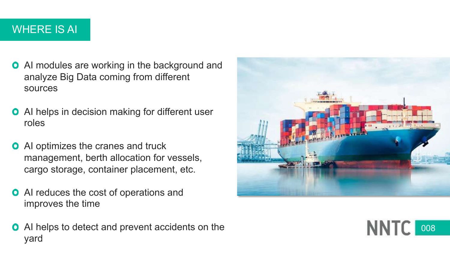# WHERE IS AI

- **O** AI modules are working in the background and analyze Big Data coming from different sources
- **O** AI helps in decision making for different user roles
- **O** AI optimizes the cranes and truck management, berth allocation for vessels, cargo storage, container placement, etc.
- **O** AI reduces the cost of operations and improves the time
- **O** AI helps to detect and prevent accidents on the yard



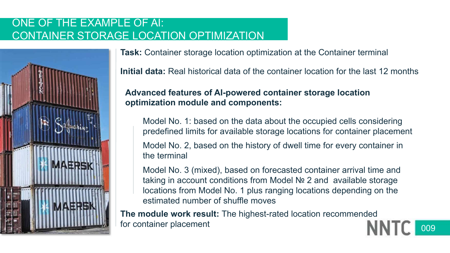## ONE OF THE EXAMPLE OF AI: CONTAINER STORAGE LOCATION OPTIMIZATION



**Task:** Container storage location optimization at the Container terminal

**Initial data:** Real historical data of the container location for the last 12 months

## **Advanced features of AI-powered container storage location optimization module and components:**

Model No. 1: based on the data about the occupied cells considering predefined limits for available storage locations for container placement

Model No. 2, based on the history of dwell time for every container in the terminal

Model No. 3 (mixed), based on forecasted container arrival time and taking in account conditions from Model № 2 and available storage locations from Model No. 1 plus ranging locations depending on the estimated number of shuffle moves

**The module work result:** The highest-rated location recommended for container placement

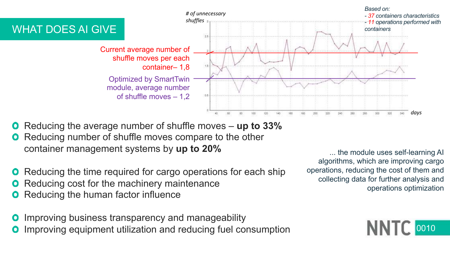

- Reducing the average number of shuffle moves **up to 33%**
- Reducing number of shuffle moves compare to the other container management systems by **up to 20%**
- Reducing the time required for cargo operations for each ship
- Reducing cost for the machinery maintenance
- **O** Reducing the human factor influence
- Improving business transparency and manageability
- Improving equipment utilization and reducing fuel consumption

... the module uses self-learning AI algorithms, which are improving cargo operations, reducing the cost of them and collecting data for further analysis and operations optimization

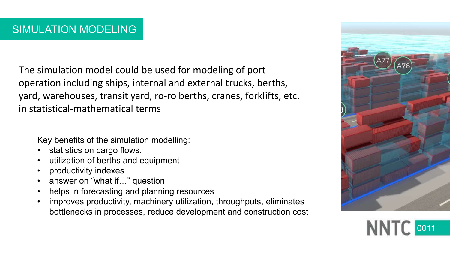The simulation model could be used for modeling of port operation including ships, internal and external trucks, berths, yard, warehouses, transit yard, ro-ro berths, cranes, forklifts, etc. in statistical-mathematical terms

Key benefits of the simulation modelling:

- statistics on cargo flows,
- utilization of berths and equipment
- productivity indexes
- answer on "what if..." question
- helps in forecasting and planning resources
- improves productivity, machinery utilization, throughputs, eliminates bottlenecks in processes, reduce development and construction cost



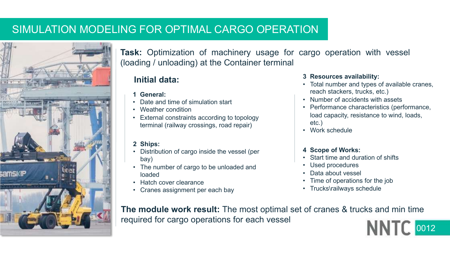## SIMULATION MODELING FOR OPTIMAL CARGO OPERATION



**Task:** Optimization of machinery usage for cargo operation with vessel (loading / unloading) at the Container terminal

## **Initial data:**

- **1 General:**
- Date and time of simulation start
- Weather condition
- External constraints according to topology terminal (railway crossings, road repair)

#### **2 Ships:**

- Distribution of cargo inside the vessel (per bay)
- The number of cargo to be unloaded and loaded
- Hatch cover clearance
- Cranes assignment per each bay

#### **3 Resources availability:**

- Total number and types of available cranes, reach stackers, trucks, etc.)
- Number of accidents with assets
- Performance characteristics (performance, load capacity, resistance to wind, loads, etc.)
- Work schedule

#### **4 Scope of Works:**

- Start time and duration of shifts
- Used procedures
- Data about vessel
- Time of operations for the job
- Trucks\railways schedule

**The module work result:** The most optimal set of cranes & trucks and min time required for cargo operations for each vessel

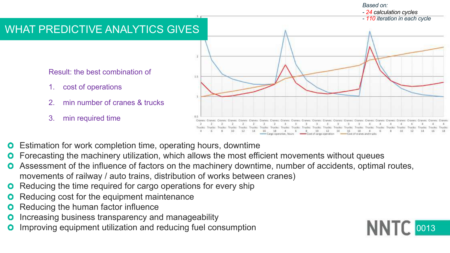## WHAT PREDICTIVE ANALYTICS GIVES

Result: the best combination of

- 1. cost of operations
- 2. min number of cranes & trucks
- 3. min required time



- Estimation for work completion time, operating hours, downtime
- Forecasting the machinery utilization, which allows the most efficient movements without queues
- Assessment of the influence of factors on the machinery downtime, number of accidents, optimal routes, movements of railway / auto trains, distribution of works between cranes)
- Reducing the time required for cargo operations for every ship
- Reducing cost for the equipment maintenance
- Reducing the human factor influence
- Increasing business transparency and manageability
- Improving equipment utilization and reducing fuel consumption

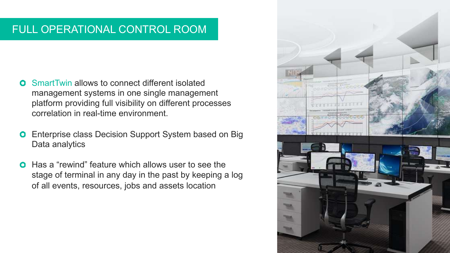# FULL OPERATIONAL CONTROL ROOM

- SmartTwin allows to connect different isolated  $\bullet$ management systems in one single management platform providing full visibility on different processes correlation in real-time environment.
- Enterprise class Decision Support System based on Big  $\bullet$ Data analytics
- Has a "rewind" feature which allows user to see the  $\bullet$ stage of terminal in any day in the past by keeping a log of all events, resources, jobs and assets location

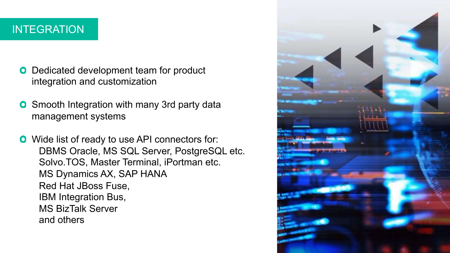## INTEGRATION

- **O** Dedicated development team for product integration and customization
- Smooth Integration with many 3rd party data  $\bullet$ management systems
- **O** Wide list of ready to use API connectors for: DBMS Oracle, MS SQL Server, PostgreSQL etc. Solvo.TOS, Master Terminal, iPortman etc. MS Dynamics AX, SAP HANA Red Hat JBoss Fuse, IBM Integration Bus, MS BizTalk Server and others